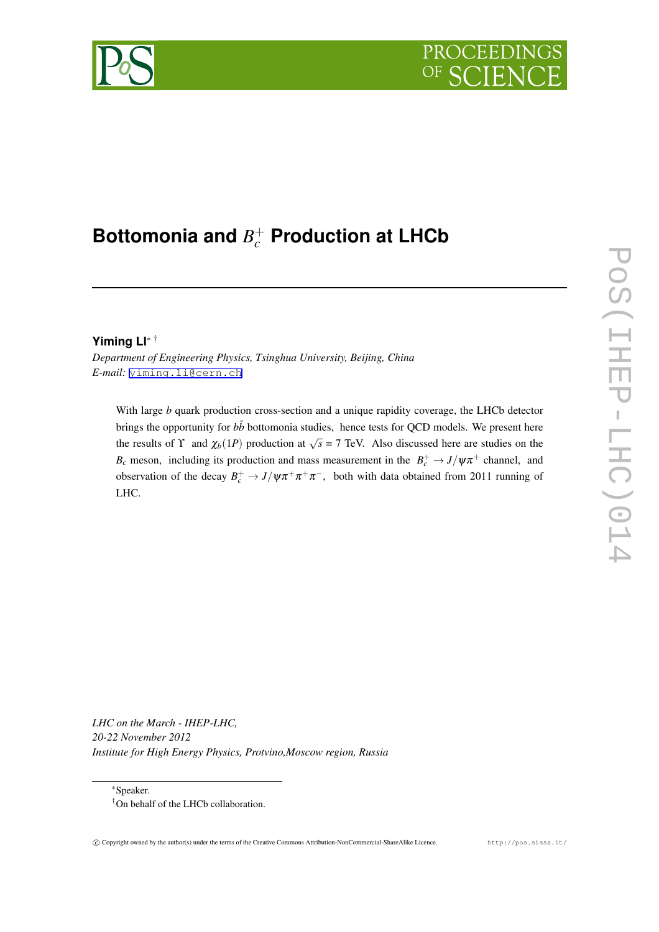# PROCEEDI



## **Bottomonia and** *B* + *<sup>c</sup>* **Production at LHCb**

## **Yiming LI***<sup>∗</sup>* †

*Department of Engineering Physics, Tsinghua University, Beijing, China E-mail:* [yiming.li@cern.ch](mailto:yiming.li@cern.ch)

With large *b* quark production cross-section and a unique rapidity coverage, the LHCb detector brings the opportunity for  $b\bar{b}$  bottomonia studies, hence tests for QCD models. We present here the results of  $\Upsilon$  and  $\chi_b(1P)$  production at  $\sqrt{s} = 7$  TeV. Also discussed here are studies on the *B*<sub>c</sub> meson, including its production and mass measurement in the  $B_c^+ \rightarrow J/\psi \pi^+$  channel, and observation of the decay  $B_c^+ \to J/\psi \pi^+ \pi^+ \pi^-$ , both with data obtained from 2011 running of LHC.

*LHC on the March - IHEP-LHC, 20-22 November 2012 Institute for High Energy Physics, Protvino,Moscow region, Russia*

*<sup>∗</sup>*Speaker. †On behalf of the LHCb collaboration.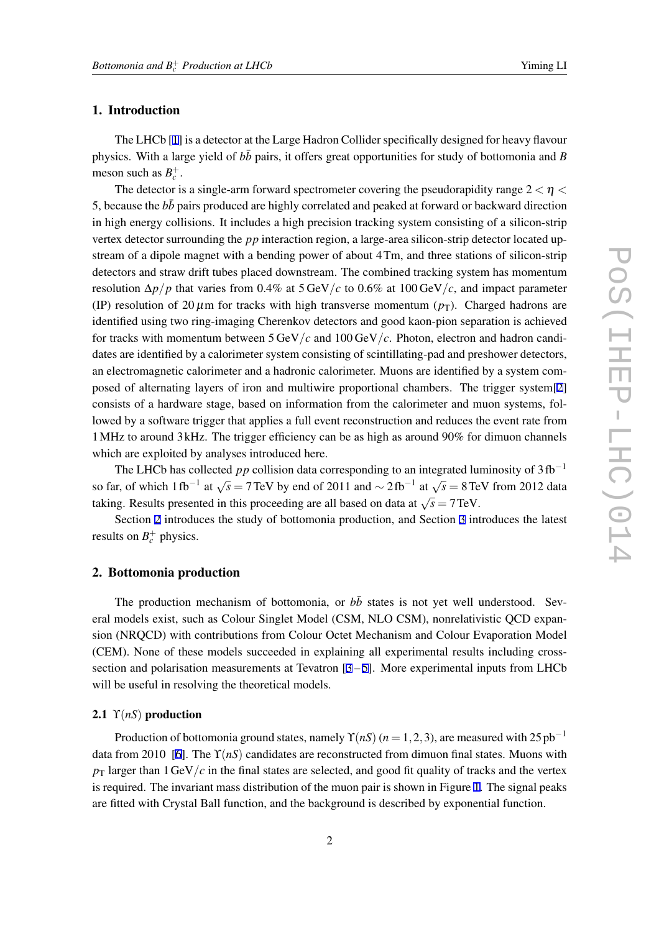## 1. Introduction

The LHCb [[1](#page-6-0)] is a detector at the Large Hadron Collider specifically designed for heavy flavour physics. With a large yield of  $b\bar{b}$  pairs, it offers great opportunities for study of bottomonia and *B* meson such as  $B_c^+$ .

The detector is a single-arm forward spectrometer covering the pseudorapidity range 2 *<* η *<* 5, because the  $b\bar{b}$  pairs produced are highly correlated and peaked at forward or backward direction in high energy collisions. It includes a high precision tracking system consisting of a silicon-strip vertex detector surrounding the *pp* interaction region, a large-area silicon-strip detector located upstream of a dipole magnet with a bending power of about 4Tm, and three stations of silicon-strip detectors and straw drift tubes placed downstream. The combined tracking system has momentum resolution  $\Delta p / p$  that varies from 0.4% at 5 GeV/*c* to 0.6% at 100 GeV/*c*, and impact parameter (IP) resolution of 20  $\mu$ m for tracks with high transverse momentum ( $p_T$ ). Charged hadrons are identified using two ring-imaging Cherenkov detectors and good kaon-pion separation is achieved for tracks with momentum between 5 GeV*/c* and 100 GeV*/c*. Photon, electron and hadron candidates are identified by a calorimeter system consisting of scintillating-pad and preshower detectors, an electromagnetic calorimeter and a hadronic calorimeter. Muons are identified by a system composed of alternating layers of iron and multiwire proportional chambers. The trigger system[[2](#page-6-0)] consists of a hardware stage, based on information from the calorimeter and muon systems, followed by a software trigger that applies a full event reconstruction and reduces the event rate from 1MHz to around 3 kHz. The trigger efficiency can be as high as around 90% for dimuon channels which are exploited by analyses introduced here.

The LHCb has collected *pp* collision data corresponding to an integrated luminosity of 3 fb*−*<sup>1</sup> so far, of which 1 fb<sup>−1</sup> at  $\sqrt{s}$  = 7 TeV by end of 2011 and  $\sim$  2 fb<sup>−1</sup> at  $\sqrt{s}$  = 8 TeV from 2012 data taking. Results presented in this proceeding are all based on data at  $\sqrt{s} = 7$  TeV.

Section 2 introduces the study of bottomonia production, and Section [3](#page-4-0) introduces the latest results on  $B_c^+$  physics.

## 2. Bottomonia production

The production mechanism of bottomonia, or  $b\bar{b}$  states is not yet well understood. Several models exist, such as Colour Singlet Model (CSM, NLO CSM), nonrelativistic QCD expansion (NRQCD) with contributions from Colour Octet Mechanism and Colour Evaporation Model (CEM). None of these models succeeded in explaining all experimental results including crosssection and polarisation measurements at Tevatron  $[3-5]$  $[3-5]$  $[3-5]$  $[3-5]$ . More experimental inputs from LHCb will be useful in resolving the theoretical models.

## 2.1  $\Upsilon(nS)$  production

Production of bottomonia ground states, namely  $\Upsilon(nS)$  ( $n = 1, 2, 3$ ), are measured with 25 pb<sup>−1</sup> data from 2010 [\[6\]](#page-6-0). The ϒ(*nS*) candidates are reconstructed from dimuon final states. Muons with  $p_T$  larger than 1 GeV/*c* in the final states are selected, and good fit quality of tracks and the vertex is required. The invariant mass distribution of the muon pair is shown in Figure [1](#page-2-0). The signal peaks are fitted with Crystal Ball function, and the background is described by exponential function.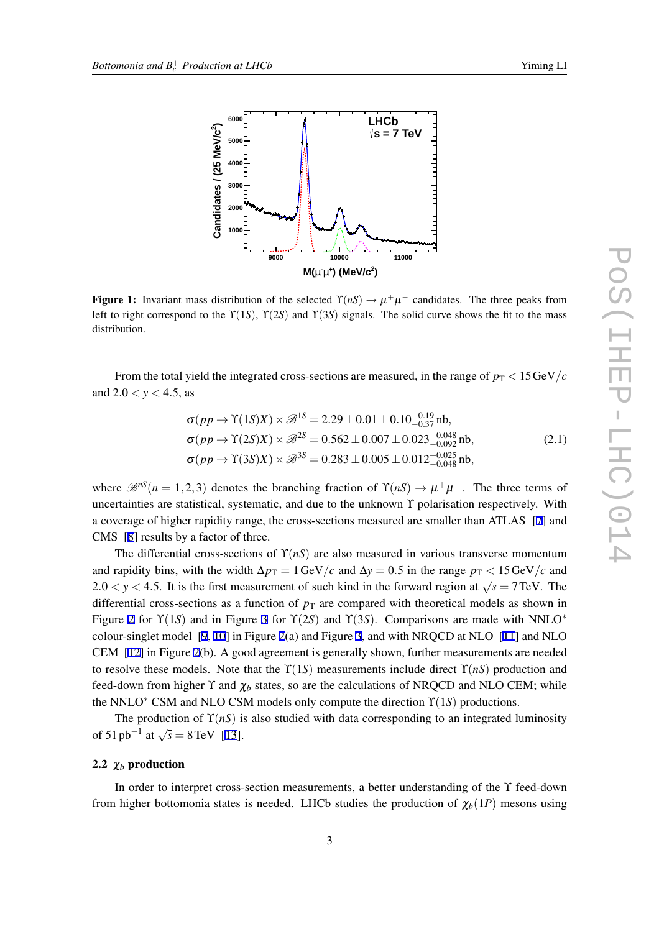

<span id="page-2-0"></span>

Figure 1: Invariant mass distribution of the selected  $\Upsilon(nS) \to \mu^+\mu^-$  candidates. The three peaks from left to right correspond to the  $\Upsilon(1S)$ ,  $\Upsilon(2S)$  and  $\Upsilon(3S)$  signals. The solid curve shows the fit to the mass distribution.

From the total yield the integrated cross-sections are measured, in the range of  $p_T < 15 \,\text{GeV}/c$ and  $2.0 < y < 4.5$ , as

$$
\sigma(pp \to \Upsilon(1S)X) \times \mathcal{B}^{1S} = 2.29 \pm 0.01 \pm 0.10^{+0.19}_{-0.37} \,\text{nb},
$$
  
\n
$$
\sigma(pp \to \Upsilon(2S)X) \times \mathcal{B}^{2S} = 0.562 \pm 0.007 \pm 0.023^{+0.048}_{-0.092} \,\text{nb},
$$
  
\n
$$
\sigma(pp \to \Upsilon(3S)X) \times \mathcal{B}^{3S} = 0.283 \pm 0.005 \pm 0.012^{+0.025}_{-0.048} \,\text{nb},
$$
\n(2.1)

where  $\mathcal{B}^{nS}(n=1,2,3)$  denotes the branching fraction of  $\Upsilon(nS) \to \mu^+\mu^-$ . The three terms of uncertainties are statistical, systematic, and due to the unknown  $\Upsilon$  polarisation respectively. With a coverage of higher rapidity range, the cross-sections measured are smaller than ATLAS [\[7\]](#page-6-0) and CMS [\[8\]](#page-6-0) results by a factor of three.

The differential cross-sections of  $\Upsilon(nS)$  are also measured in various transverse momentum and rapidity bins, with the width  $\Delta p_T = 1 \text{ GeV}/c$  and  $\Delta y = 0.5$  in the range  $p_T < 15 \text{ GeV}/c$  and  $2.0 < y < 4.5$ . It is the first measurement of such kind in the forward region at  $\sqrt{s} = 7$  TeV. The differential cross-sections as a function of  $p<sub>T</sub>$  are compared with theoretical models as shown in Figure [2](#page-3-0) for ϒ(1*S*) and in Figure [3](#page-3-0) for ϒ(2*S*) and ϒ(3*S*). Comparisons are made with NNLO*<sup>∗</sup>* colour-singlet model [\[9,](#page-6-0) [10\]](#page-6-0) in Figure [2](#page-3-0)(a) and Figure [3,](#page-3-0) and with NRQCD at NLO [\[11](#page-6-0)] and NLO CEM [[12\]](#page-7-0) in Figure [2](#page-3-0)(b). A good agreement is generally shown, further measurements are needed to resolve these models. Note that the  $\Upsilon(1S)$  measurements include direct  $\Upsilon(nS)$  production and feed-down from higher Y and  $\chi_b$  states, so are the calculations of NRQCD and NLO CEM; while the NNLO*<sup>∗</sup>* CSM and NLO CSM models only compute the direction ϒ(1*S*) productions.

The production of  $\Upsilon(nS)$  is also studied with data corresponding to an integrated luminosity of 51 pb<sup>-1</sup> at  $\sqrt{s} = 8 \text{ TeV}$  [\[13](#page-7-0)].

#### 2.2  $\chi_b$  production

In order to interpret cross-section measurements, a better understanding of the ϒ feed-down from higher bottomonia states is needed. LHCb studies the production of  $\chi_b(1P)$  mesons using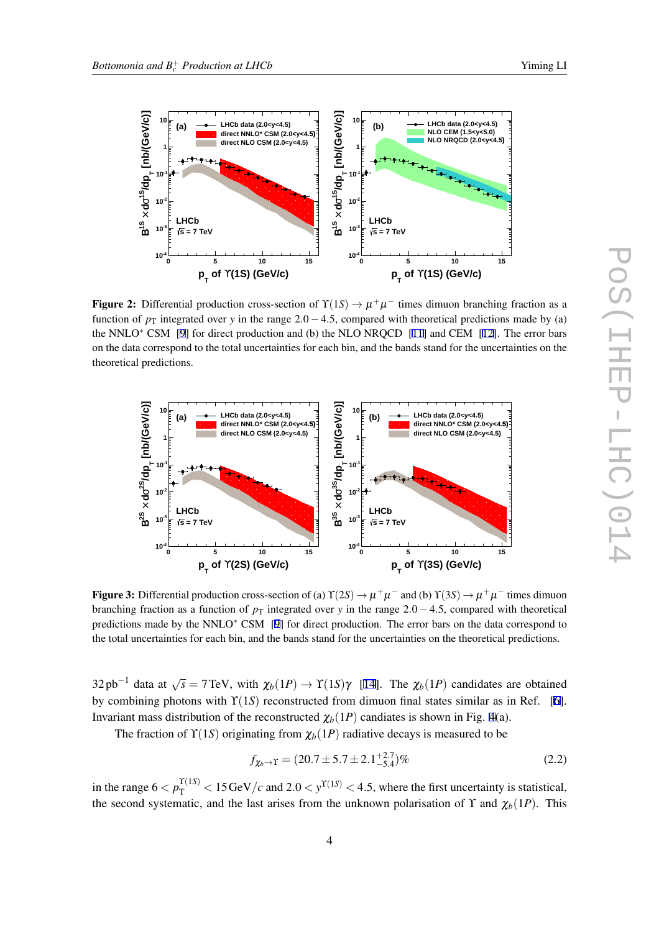<span id="page-3-0"></span>

**Figure 2:** Differential production cross-section of  $\Upsilon(1S) \to \mu^+\mu^-$  times dimuon branching fraction as a function of  $p_T$  integrated over *y* in the range 2.0 − 4.5, compared with theoretical predictions made by (a) the NNLO*∗* CSM [[9\]](#page-6-0) for direct production and (b) the NLO NRQCD [\[11](#page-6-0)] and CEM [[12\]](#page-7-0). The error bars on the data correspond to the total uncertainties for each bin, and the bands stand for the uncertainties on the theoretical predictions.



Figure 3: Differential production cross-section of (a)  $\Upsilon(2S) \to \mu^+\mu^-$  and (b)  $\Upsilon(3S) \to \mu^+\mu^-$  times dimuon branching fraction as a function of  $p<sub>T</sub>$  integrated over *y* in the range 2*.*0 − 4*.*5, compared with theoretical predictions made by the NNLO*∗* CSM [[9\]](#page-6-0) for direct production. The error bars on the data correspond to the total uncertainties for each bin, and the bands stand for the uncertainties on the theoretical predictions.

32 pb<sup>−1</sup> data at  $\sqrt{s}$  = 7 TeV, with  $\chi_b(1P)$  → Y(1*S*)γ [\[14](#page-7-0)]. The  $\chi_b(1P)$  candidates are obtained by combining photons with ϒ(1*S*) reconstructed from dimuon final states similar as in Ref. [\[6\]](#page-6-0). Invariant mass distribution of the reconstructed  $\chi_b(1P)$  candiates is shown in Fig. [4](#page-4-0)(a).

The fraction of  $\Upsilon(1S)$  originating from  $\chi_b(1P)$  radiative decays is measured to be

$$
f_{\chi_b \to \Upsilon} = (20.7 \pm 5.7 \pm 2.1^{+2.7}_{-5.4})\%
$$
\n(2.2)

in the range  $6 < p_T^{\Upsilon(1S)} < 15 \,\text{GeV}/c$  and  $2.0 < y^{\Upsilon(1S)} < 4.5$ , where the first uncertainty is statistical, the second systematic, and the last arises from the unknown polarisation of Y and  $\chi_b(1P)$ . This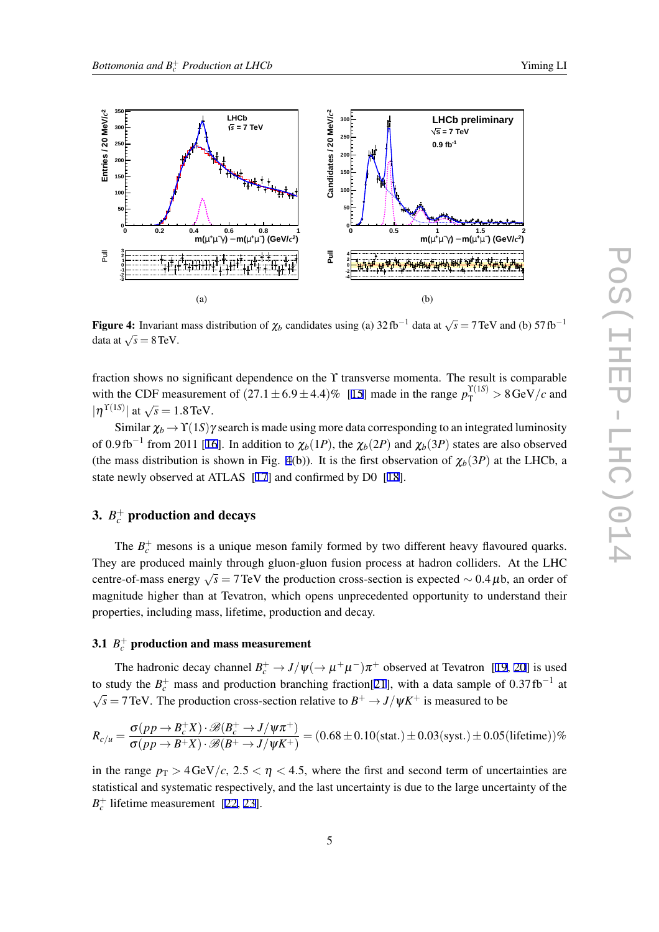<span id="page-4-0"></span>

Figure 4: Invariant mass distribution of  $\chi_b$  candidates using (a) 32 fb<sup>-1</sup> data at  $\sqrt{s} = 7 \text{ TeV}$  and (b) 57 fb<sup>-1</sup> data at  $\sqrt{s} = 8 \text{ TeV}$ .

fraction shows no significant dependence on the ϒ transverse momenta. The result is comparable with the CDF measurement of  $(27.1 \pm 6.9 \pm 4.4)\%$  [\[15](#page-7-0)] made in the range  $p_T^{\Upsilon(1S)} > 8 \,\text{GeV}/c$  and  $|\eta^{\Upsilon(1S)}|$  at  $\sqrt{s} = 1.8 \text{ TeV}.$ 

Similar  $\chi_b \to \Upsilon(1S)\gamma$  search is made using more data corresponding to an integrated luminosity of 0.9fb<sup>-1</sup> from 2011 [[16](#page-7-0)]. In addition to  $\chi_b(1P)$ , the  $\chi_b(2P)$  and  $\chi_b(3P)$  states are also observed (the mass distribution is shown in Fig. 4(b)). It is the first observation of  $\chi_b(3P)$  at the LHCb, a state newly observed at ATLAS [[17\]](#page-7-0) and confirmed by D0 [[18](#page-7-0)].

## 3.  $B_c^+$  production and decays

The  $B_c^+$  mesons is a unique meson family formed by two different heavy flavoured quarks. They are produced mainly through gluon-gluon fusion process at hadron colliders. At the LHC centre-of-mass energy  $\sqrt{s}$  = 7 TeV the production cross-section is expected  $\sim 0.4 \,\mu$ b, an order of magnitude higher than at Tevatron, which opens unprecedented opportunity to understand their properties, including mass, lifetime, production and decay.

## $3.1\,\,$   $B_c^+$  production and mass measurement

The hadronic decay channel  $B_c^+ \to J/\psi(\to \mu^+\mu^-)\pi^+$  observed at Tevatron [\[19](#page-7-0), [20\]](#page-7-0) is used to study the  $B_c^+$  mass and production branching fraction[[21\]](#page-7-0), with a data sample of 0*.37* fb<sup>-1</sup> at  $\sqrt{s}$  = 7 TeV. The production cross-section relative to  $B^+ \to J/\psi K^+$  is measured to be

$$
R_{c/u} = \frac{\sigma(pp \to B_c^+ X) \cdot \mathcal{B}(B_c^+ \to J/\psi \pi^+)}{\sigma(pp \to B^+ X) \cdot \mathcal{B}(B^+ \to J/\psi K^+)} = (0.68 \pm 0.10 \text{(stat.)} \pm 0.03 \text{(syst.)} \pm 0.05 \text{(lifetime)})\%
$$

in the range  $p_T > 4 \text{ GeV}/c$ ,  $2.5 < \eta < 4.5$ , where the first and second term of uncertainties are statistical and systematic respectively, and the last uncertainty is due to the large uncertainty of the  $B_c^+$  lifetime measurement [\[22](#page-7-0), [23\]](#page-7-0).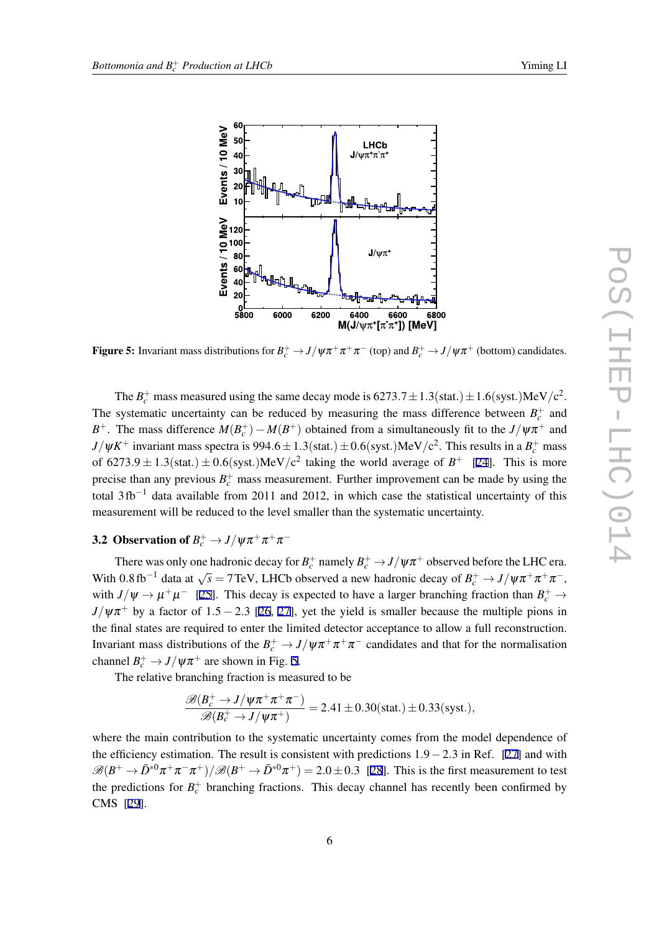

Figure 5: Invariant mass distributions for  $B_c^+ \to J/\psi \pi^+ \pi^+ \pi^-$  (top) and  $B_c^+ \to J/\psi \pi^+$  (bottom) candidates.

The  $B_c^+$  mass measured using the same decay mode is  $6273.7 \pm 1.3$ (stat.) $\pm 1.6$ (syst.)MeV/c<sup>2</sup>. The systematic uncertainty can be reduced by measuring the mass difference between  $B_c^+$  and *B*<sup>+</sup>. The mass difference  $M(B_c^+)-M(B^+)$  obtained from a simultaneously fit to the *J*/ $\psi \pi^+$  and  $J/\psi K^+$  invariant mass spectra is 994*.*6  $\pm$  1*.*3(stat*.*)  $\pm$  0*.*6(syst*.*)MeV/c<sup>2</sup>. This results in a  $B_c^+$  mass of  $6273.9 \pm 1.3$ (stat.)  $\pm 0.6$ (syst.)MeV/c<sup>2</sup> taking the world average of  $B^+$  [\[24\]](#page-7-0). This is more precise than any previous  $B_c^+$  mass measurement. Further improvement can be made by using the total 3 fb*−*<sup>1</sup> data available from 2011 and 2012, in which case the statistical uncertainty of this measurement will be reduced to the level smaller than the systematic uncertainty.

## 3.2 Observation of  $B_c^+ \to J/\psi \pi^+ \pi^+ \pi^-$

There was only one hadronic decay for  $B_c^+$  namely  $B_c^+ \to J/\psi \pi^+$  observed before the LHC era. With 0.8 fb<sup>-1</sup> data at  $\sqrt{s}$  = 7 TeV, LHCb observed a new hadronic decay of  $B_c^+ \to J/\psi \pi^+ \pi^+ \pi^-$ , with  $J/\psi \rightarrow \mu^+\mu^-$  [\[25](#page-7-0)]. This decay is expected to have a larger branching fraction than  $B_c^+ \rightarrow$  $J/\psi \pi^+$  by a factor of 1*.5 −* 2*.3* [[26](#page-7-0), [27](#page-7-0)], yet the yield is smaller because the multiple pions in the final states are required to enter the limited detector acceptance to allow a full reconstruction. Invariant mass distributions of the  $B_c^+ \to J/\psi \pi^+ \pi^+ \pi^-$  candidates and that for the normalisation channel  $B_c^+ \to J/\psi \pi^+$  are shown in Fig. 5.

The relative branching fraction is measured to be

$$
\frac{\mathcal{B}(B_c^+ \to J/\psi \pi^+ \pi^+ \pi^-)}{\mathcal{B}(B_c^+ \to J/\psi \pi^+)} = 2.41 \pm 0.30 \text{(stat.)} \pm 0.33 \text{(syst.)},
$$

where the main contribution to the systematic uncertainty comes from the model dependence of the efficiency estimation. The result is consistent with predictions 1*.*9*−*2*.*3 in Ref. [[27](#page-7-0)] and with  $\mathscr{B}(B^+ \to \bar{D}^{*0}\pi^+\pi^-\pi^+)/\mathscr{B}(B^+ \to \bar{D}^{*0}\pi^+) = 2.0 \pm 0.3$  [\[28](#page-7-0)]. This is the first measurement to test the predictions for  $B_c^+$  branching fractions. This decay channel has recently been confirmed by CMS [\[29](#page-7-0)].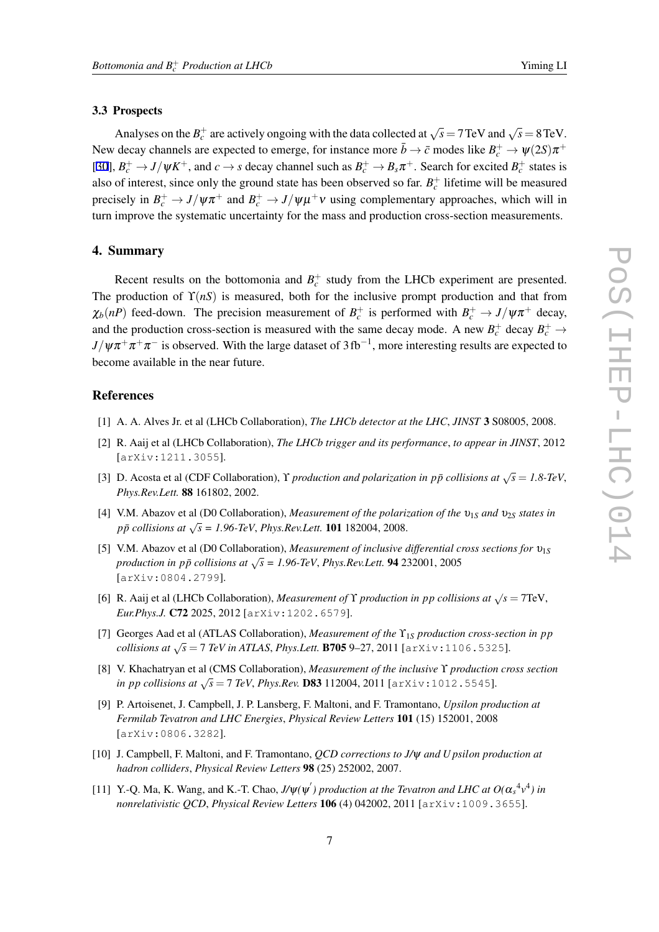#### <span id="page-6-0"></span>3.3 Prospects

Analyses on the  $B_c^+$  are actively ongoing with the data collected at  $\sqrt{s} = 7 \text{ TeV}$  and  $\sqrt{s} = 8 \text{ TeV}$ . New decay channels are expected to emerge, for instance more  $\bar{b} \to \bar{c}$  modes like  $B_c^+ \to \psi(2S)\pi^+$ [[30\]](#page-7-0),  $B_c^+ \to J/\psi K^+$ , and  $c \to s$  decay channel such as  $B_c^+ \to B_s \pi^+$ . Search for excited  $B_c^+$  states is also of interest, since only the ground state has been observed so far.  $B_c^+$  lifetime will be measured precisely in  $B_c^+ \to J/\psi \pi^+$  and  $B_c^+ \to J/\psi \mu^+ \nu$  using complementary approaches, which will in turn improve the systematic uncertainty for the mass and production cross-section measurements.

#### 4. Summary

Recent results on the bottomonia and  $B_c^+$  study from the LHCb experiment are presented. The production of  $\Upsilon(nS)$  is measured, both for the inclusive prompt production and that from  $\chi_b(nP)$  feed-down. The precision measurement of  $B_c^+$  is performed with  $B_c^+ \to J/\psi \pi^+$  decay, and the production cross-section is measured with the same decay mode. A new  $B_c^+$  decay  $B_c^+$   $\rightarrow$ *J*/ψπ<sup>+</sup>π<sup>+</sup>π<sup>−</sup> is observed. With the large dataset of 3fb<sup>−1</sup>, more interesting results are expected to become available in the near future.

## **References**

- [1] A. A. Alves Jr. et al (LHCb Collaboration), *The LHCb detector at the LHC*, *JINST* 3 S08005, 2008.
- [2] R. Aaij et al (LHCb Collaboration), *The LHCb trigger and its performance*, *to appear in JINST*, 2012 [arXiv:1211.3055].
- [3] D. Acosta et al (CDF Collaboration), *Y production and polarization in pp̃ collisions at*  $\sqrt{s} = 1.8$ -TeV, *Phys.Rev.Lett.* 88 161802, 2002.
- [4] V.M. Abazov et al (D0 Collaboration), *Measurement of the polarization of the* <sup>υ</sup>1*<sup>S</sup> and* <sup>υ</sup>2*<sup>S</sup> states in pp*¯ *collisions at √ s = 1.96-TeV*, *Phys.Rev.Lett.* 101 182004, 2008.
- [5] V.M. Abazov et al (D0 Collaboration), *Measurement of inclusive differential cross sections for* <sup>υ</sup>1*<sup>S</sup> production in pp̃ collisions at*  $\sqrt{s}$  = 1.96-TeV, *Phys.Rev.Lett.* 94 232001, 2005 [arXiv:0804.2799].
- [6] R. Aaij et al (LHCb Collaboration), *Measurement of*  $\Upsilon$  *production in pp collisions at*  $\sqrt{s} = 7$  TeV, *Eur.Phys.J.* C72 2025, 2012 [arXiv:1202.6579].
- [7] Georges Aad et al (ATLAS Collaboration), *Measurement of the*  $\Upsilon_{1S}$  *production cross-section in pp collisions at*  $\sqrt{s} = 7$  *TeV in ATLAS, Phys.Lett.* **B705** 9–27, 2011 [arXiv:1106.5325].
- [8] V. Khachatryan et al (CMS Collaboration), *Measurement of the inclusive* ϒ *production cross section in pp collisions at √ s* = 7 *TeV*, *Phys.Rev.* D83 112004, 2011 [arXiv:1012.5545].
- [9] P. Artoisenet, J. Campbell, J. P. Lansberg, F. Maltoni, and F. Tramontano, *Upsilon production at Fermilab Tevatron and LHC Energies*, *Physical Review Letters* 101 (15) 152001, 2008 [arXiv:0806.3282].
- [10] J. Campbell, F. Maltoni, and F. Tramontano, *QCD corrections to J/*ψ *and U psilon production at hadron colliders*, *Physical Review Letters* 98 (25) 252002, 2007.
- [11] Y.-Q. Ma, K. Wang, and K.-T. Chao,  $J/\psi(\psi')$  production at the Tevatron and LHC at  $O(\alpha_s^4 v^4)$  in *nonrelativistic QCD*, *Physical Review Letters* 106 (4) 042002, 2011 [arXiv:1009.3655].